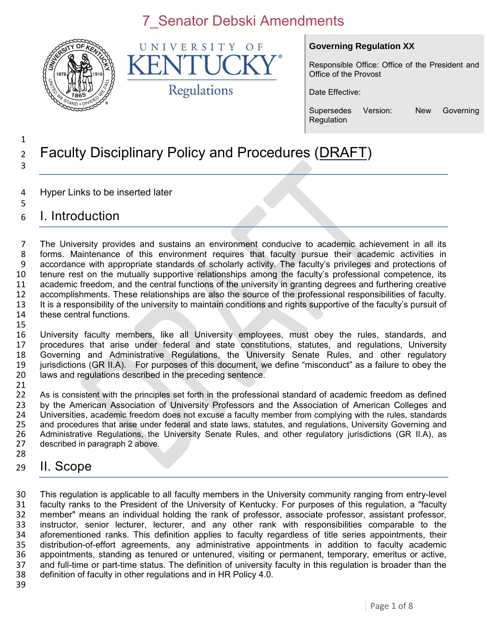

UNIVERSITY  $\Omega$  F K Regulations

#### **Governing Regulation XX**

Responsible Office: Office of the President and Office of the Provost

Date Effective:

Supersedes Version: New Governing **Regulation** 

#### 1 <sup>2</sup> Faculty Disciplinary Policy and Procedures (DRAFT) 3

- 4 Hyper Links to be inserted later
- 5 6 I. Introduction

 The University provides and sustains an environment conducive to academic achievement in all its forms. Maintenance of this environment requires that faculty pursue their academic activities in accordance with appropriate standards of scholarly activity. The faculty's privileges and protections of tenure rest on the mutually supportive relationships among the faculty's professional competence, its academic freedom, and the central functions of the university in granting degrees and furthering creative accomplishments. These relationships are also the source of the professional responsibilities of faculty. It is a responsibility of the university to maintain conditions and rights supportive of the faculty's pursuit of these central functions. 15

 University faculty members, like all University employees, must obey the rules, standards, and procedures that arise under federal and state constitutions, statutes, and regulations, University Governing and Administrative Regulations, the University Senate Rules, and other regulatory jurisdictions (GR II.A). For purposes of this document, we define "misconduct" as a failure to obey the laws and regulations described in the preceding sentence.

21<br>22 As is consistent with the principles set forth in the professional standard of academic freedom as defined 23 by the American Association of University Professors and the Association of American Colleges and<br>24 Universities, academic freedom does not excuse a faculty member from complying with the rules, standards 24 Universities, academic freedom does not excuse a faculty member from complying with the rules, standards<br>25 and procedures that arise under federal and state laws, statutes, and regulations, University Governing and 25 and procedures that arise under federal and state laws, statutes, and regulations, University Governing and<br>26 Administrative Regulations, the University Senate Rules, and other regulatory jurisdictions (GR II.A), as 26 Administrative Regulations, the University Senate Rules, and other regulatory jurisdictions (GR II.A), as 27 described in paragraph 2 above. described in paragraph 2 above. 28

29 II. Scope

 This regulation is applicable to all faculty members in the University community ranging from entry-level faculty ranks to the President of the University of Kentucky. For purposes of this regulation, a "faculty member" means an individual holding the rank of professor, associate professor, assistant professor, instructor, senior lecturer, lecturer, and any other rank with responsibilities comparable to the aforementioned ranks. This definition applies to faculty regardless of title series appointments, their distribution-of-effort agreements, any administrative appointments in addition to faculty academic 36 appointments, standing as tenured or untenured, visiting or permanent, temporary, emeritus or active, 37 and full-time or part-time status. The definition of university faculty in this regulation is broader than the and full-time or part-time status. The definition of university faculty in this regulation is broader than the definition of faculty in other regulations and in HR Policy 4.0.

39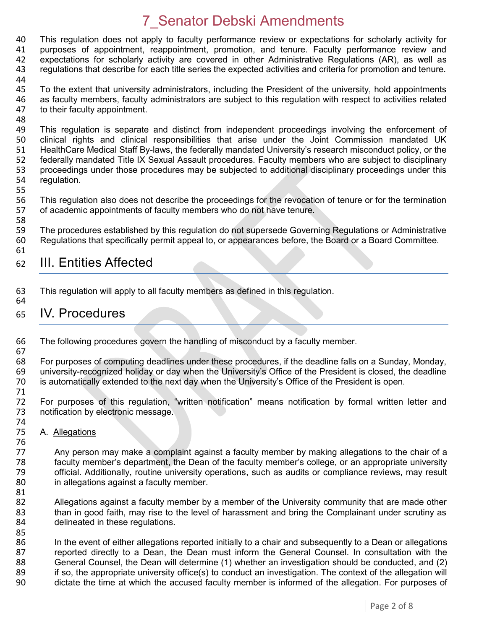40 This regulation does not apply to faculty performance review or expectations for scholarly activity for 41 purposes of appointment, reappointment, promotion, and tenure, Faculty performance review and purposes of appointment, reappointment, promotion, and tenure. Faculty performance review and expectations for scholarly activity are covered in other Administrative Regulations (AR), as well as regulations that describe for each title series the expected activities and criteria for promotion and tenure.

44

45 To the extent that university administrators, including the President of the university, hold appointments 46 as faculty members, faculty administrators are subject to this regulation with respect to activities related 47 to their faculty appointment. to their faculty appointment.

48<br>49 49 This regulation is separate and distinct from independent proceedings involving the enforcement of 400 Clinical rights and clinical responsibilities that arise under the Joint Commission mandated UK clinical rights and clinical responsibilities that arise under the Joint Commission mandated UK 51 HealthCare Medical Staff By-laws, the federally mandated University's research misconduct policy, or the 52 federally mandated Title IX Sexual Assault procedures. Faculty members who are subject to disciplinary<br>53 proceedings under those procedures may be subjected to additional disciplinary proceedings under this 53 proceedings under those procedures may be subjected to additional disciplinary proceedings under this 54 requidation. regulation.

55

58

56 This regulation also does not describe the proceedings for the revocation of tenure or for the termination<br>57 of academic appointments of faculty members who do not have tenure. of academic appointments of faculty members who do not have tenure.

59 The procedures established by this regulation do not supersede Governing Regulations or Administrative 60 Regulations that specifically permit appeal to, or appearances before, the Board or a Board Committee. 61

#### 62 III. Entities Affected

63 This regulation will apply to all faculty members as defined in this regulation. 64

#### 65 IV. Procedures

66 The following procedures govern the handling of misconduct by a faculty member. 67

68 For purposes of computing deadlines under these procedures, if the deadline falls on a Sunday, Monday, 69 university-recognized holiday or day when the University's Office of the President is closed, the deadline university-recognized holiday or day when the University's Office of the President is closed, the deadline 70 is automatically extended to the next day when the University's Office of the President is open.

71 For purposes of this regulation, "written notification" means notification by formal written letter and 73 notification by electronic message.

74<br>75 A. Allegations

76<br>77 Any person may make a complaint against a faculty member by making allegations to the chair of a 78 faculty member's department, the Dean of the faculty member's college, or an appropriate university 79 official. Additionally, routine university operations, such as audits or compliance reviews, may result 80 in allegations against a faculty member.

81<br>82 82 Allegations against a faculty member by a member of the University community that are made other<br>83 than in good faith, may rise to the level of harassment and bring the Complainant under scrutiny as than in good faith, may rise to the level of harassment and bring the Complainant under scrutiny as 84 delineated in these regulations.

85<br>86 In the event of either allegations reported initially to a chair and subsequently to a Dean or allegations 87 reported directly to a Dean, the Dean must inform the General Counsel. In consultation with the 88 General Counsel, the Dean will determine (1) whether an investigation should be conducted, and (2) <br>89 if so, the appropriate university office(s) to conduct an investigation. The context of the allegation will 89 if so, the appropriate university office(s) to conduct an investigation. The context of the allegation will<br>90 dictate the time at which the accused faculty member is informed of the allegation. For purposes of dictate the time at which the accused faculty member is informed of the allegation. For purposes of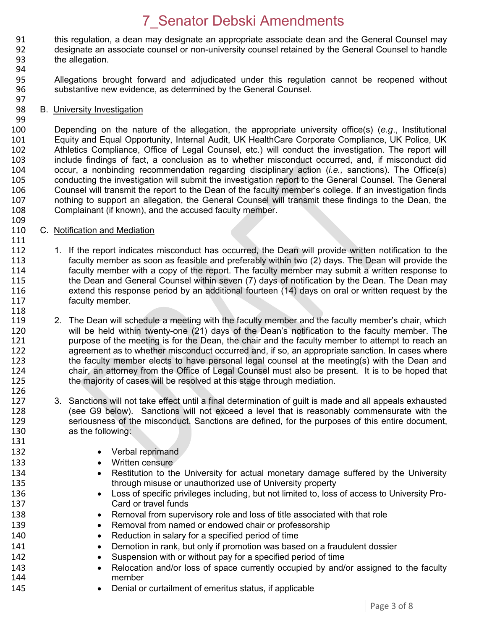- 91 this regulation, a dean may designate an appropriate associate dean and the General Counsel may<br>92 designate an associate counsel or non-university counsel retained by the General Counsel to handle designate an associate counsel or non-university counsel retained by the General Counsel to handle 93 the allegation.
- 94

99

109

111

131

- 95 Allegations brought forward and adjudicated under this regulation cannot be reopened without 96 substantive new evidence, as determined by the General Counsel.
- 97<br>98 B. University Investigation

100 Depending on the nature of the allegation, the appropriate university office(s) (*e.g*., Institutional Equity and Equal Opportunity, Internal Audit, UK HealthCare Corporate Compliance, UK Police, UK 102 Athletics Compliance, Office of Legal Counsel, etc.) will conduct the investigation. The report will 103 include findings of fact, a conclusion as to whether misconduct occurred, and, if misconduct did<br>104 occur. a nonbinding recommendation regarding disciplinary action *(i.e.*, sanctions). The Office(s) 104 occur, a nonbinding recommendation regarding disciplinary action (*i.e.,* sanctions). The Office(s) 105 conducting the investigation will submit the investigation report to the General Counsel. The General<br>106 Counsel will transmit the report to the Dean of the faculty member's college. If an investigation finds 106 Counsel will transmit the report to the Dean of the faculty member's college. If an investigation finds 107 nothing to support an allegation, the General Counsel will transmit these findings to the Dean, the 108 complainant (if known), and the accused faculty member. Complainant (if known), and the accused faculty member.

- 110 C. Notification and Mediation
- 112 1. If the report indicates misconduct has occurred, the Dean will provide written notification to the 113 faculty member as soon as feasible and preferably within two (2) days. The Dean will provide the<br>114 faculty member with a copy of the report. The faculty member may submit a written response to 114 faculty member with a copy of the report. The faculty member may submit a written response to<br>115 the Dean and General Counsel within seven (7) days of notification by the Dean. The Dean may the Dean and General Counsel within seven (7) days of notification by the Dean. The Dean may 116 extend this response period by an additional fourteen (14) days on oral or written request by the 117 faculty member. 118
- 119 2. The Dean will schedule a meeting with the faculty member and the faculty member's chair, which<br>120 will be held within twenty-one (21) days of the Dean's notification to the faculty member. The 120 will be held within twenty-one (21) days of the Dean's notification to the faculty member. The<br>121 http://www.purpose of the meeting is for the Dean, the chair and the faculty member to attempt to reach an 121 purpose of the meeting is for the Dean, the chair and the faculty member to attempt to reach an<br>122 an agreement as to whether misconduct occurred and, if so, an appropriate sanction. In cases where agreement as to whether misconduct occurred and, if so, an appropriate sanction. In cases where 123 the faculty member elects to have personal legal counsel at the meeting(s) with the Dean and 124 chair, an attorney from the Office of Legal Counsel must also be present. It is to be hoped that 125 the majority of cases will be resolved at this stage through mediation. the majority of cases will be resolved at this stage through mediation.
- 126 127 3. Sanctions will not take effect until a final determination of guilt is made and all appeals exhausted 128 (see G9 below). Sanctions will not exceed a level that is reasonably commensurate with the 129 seriousness of the misconduct. Sanctions are defined, for the purposes of this entire document, 130 as the following:
- 132 **•** Verbal reprimand
- 133 **Written censure**
- 134 **•** Restitution to the University for actual monetary damage suffered by the University 135 through misuse or unauthorized use of University property
- 136 **Loss of specific privileges including, but not limited to, loss of access to University Pro-**137 Card or travel funds
- 138 **••** Removal from supervisory role and loss of title associated with that role
- 139 **Removal from named or endowed chair or professorship**
- 140 Reduction in salary for a specified period of time
- 141 **•** Demotion in rank, but only if promotion was based on a fraudulent dossier
- 142 Suspension with or without pay for a specified period of time
- 143 
Relocation and/or loss of space currently occupied by and/or assigned to the faculty<br>
144 member
- 145 **•** Denial or curtailment of emeritus status, if applicable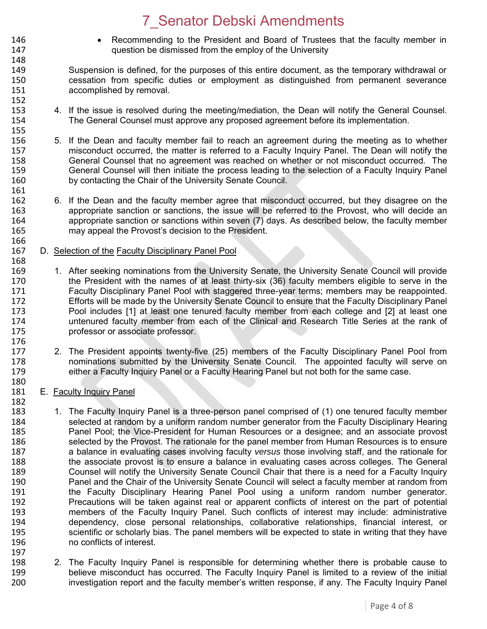- 146 Recommending to the President and Board of Trustees that the faculty member in<br>147 **147** auestion be dismissed from the employ of the University question be dismissed from the employ of the University
- 149 Suspension is defined, for the purposes of this entire document, as the temporary withdrawal or 150 cessation from specific duties or employment as distinguished from permanent severance 151 accomplished by removal. 152<br>153
- 4. If the issue is resolved during the meeting/mediation, the Dean will notify the General Counsel. 154 The General Counsel must approve any proposed agreement before its implementation.
- 155<br>156 5. If the Dean and faculty member fail to reach an agreement during the meeting as to whether 157 misconduct occurred, the matter is referred to a Faculty Inquiry Panel. The Dean will notify the 158 General Counsel that no agreement was reached on whether or not misconduct occurred. The<br>159 General Counsel will then initiate the process leading to the selection of a Faculty Inquiry Panel 159 General Counsel will then initiate the process leading to the selection of a Faculty Inquiry Panel<br>160 by contacting the Chair of the University Senate Council. by contacting the Chair of the University Senate Council.
- 162 6. If the Dean and the faculty member agree that misconduct occurred, but they disagree on the<br>163 **163** appropriate sanction or sanctions, the issue will be referred to the Provost, who will decide an appropriate sanction or sanctions, the issue will be referred to the Provost, who will decide an 164 appropriate sanction or sanctions within seven (7) days. As described below, the faculty member 165 may appeal the Provost's decision to the President.
- 166<br>167 D. Selection of the Faculty Disciplinary Panel Pool
- 168<br>169 1. After seeking nominations from the University Senate, the University Senate Council will provide 170 the President with the names of at least thirty-six (36) faculty members eligible to serve in the 171 Faculty Disciplinary Panel Pool with staggered three-year terms; members may be reappointed.<br>172 Ffforts will be made by the University Senate Council to ensure that the Faculty Disciplinary Panel Efforts will be made by the University Senate Council to ensure that the Faculty Disciplinary Panel 173 Pool includes [1] at least one tenured faculty member from each college and [2] at least one 174 untenured faculty member from each of the Clinical and Research Title Series at the rank of 175 professor or associate professor. 176<br>177
- 2. The President appoints twenty-five (25) members of the Faculty Disciplinary Panel Pool from 178 nominations submitted by the University Senate Council. The appointed faculty will serve on 179 either a Faculty Inquiry Panel or a Faculty Hearing Panel but not both for the same case.
- 180<br>181 E. Faculty Inquiry Panel

148

161<br>162

- 182<br>183 1. The Faculty Inquiry Panel is a three-person panel comprised of (1) one tenured faculty member 184 selected at random by a uniform random number generator from the Faculty Disciplinary Hearing<br>185 **1888** Panel Pool: the Vice-President for Human Resources or a designee: and an associate provost 185 Panel Pool; the Vice-President for Human Resources or a designee; and an associate provost 186<br>186 Selected by the Provost. The rationale for the panel member from Human Resources is to ensure selected by the Provost. The rationale for the panel member from Human Resources is to ensure 187 a balance in evaluating cases involving faculty *versus* those involving staff, and the rationale for 188 the associate provost is to ensure a balance in evaluating cases across colleges. The General 189 Counsel will notify the University Senate Council Chair that there is a need for a Faculty Inquiry 190 Panel and the Chair of the University Senate Council will select a faculty member at random from 191 the Faculty Disciplinary Hearing Panel Pool using a uniform random number generator. 192 Precautions will be taken against real or apparent conflicts of interest on the part of potential<br>193 **IED Entior Concilists** of the Faculty Inquiry Panel. Such conflicts of interest may include: administrative members of the Faculty Inquiry Panel. Such conflicts of interest may include: administrative 194 dependency, close personal relationships, collaborative relationships, financial interest, or 195 scientific or scholarly bias. The panel members will be expected to state in writing that they have 196 no conflicts of interest. 197
- 198 2. The Faculty Inquiry Panel is responsible for determining whether there is probable cause to<br>199 http://www.believe misconduct has occurred. The Faculty Inquiry Panel is limited to a review of the initial 199 believe misconduct has occurred. The Faculty Inquiry Panel is limited to a review of the initial<br>100 http://www.investigation report and the faculty member's written response, if any. The Faculty Inquiry Pane investigation report and the faculty member's written response, if any. The Faculty Inquiry Panel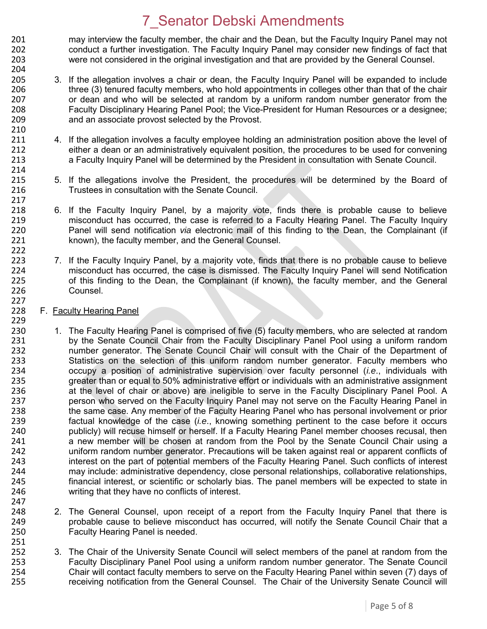201 may interview the faculty member, the chair and the Dean, but the Faculty Inquiry Panel may not<br>202 conduct a further investigation. The Faculty Inquiry Panel may consider new findings of fact that 202 conduct a further investigation. The Faculty Inquiry Panel may consider new findings of fact that 203 were not considered in the original investigation and that are provided by the General Counsel. 204

- 205 3. If the allegation involves a chair or dean, the Faculty Inquiry Panel will be expanded to include 206 three (3) tenured faculty members, who hold appointments in colleges other than that of the chair 207 or dean and who will be selected at random by a uniform random number generator from the<br>208 **19. Eaculty Disciplinary Hearing Panel Pool**: the Vice-President for Human Resources or a designee: 208 Faculty Disciplinary Hearing Panel Pool; the Vice-President for Human Resources or a designee; 209 and an associate provost selected by the Provost.
- 4. If the allegation involves a faculty employee holding an administration position above the level of 212 either a dean or an administratively equivalent position, the procedures to be used for convening 213 a Faculty Inquiry Panel will be determined by the President in consultation with Senate Council.
- 215 5. If the allegations involve the President, the procedures will be determined by the Board of 216 Trustees in consultation with the Senate Council.
- 6. If the Faculty Inquiry Panel, by a majority vote, finds there is probable cause to believe 219 misconduct has occurred, the case is referred to a Faculty Hearing Panel. The Faculty Inquiry 220 Panel will send notification *via* electronic mail of this finding to the Dean, the Complainant (if 221 known), the faculty member, and the General Counsel.
- 223 7. If the Faculty Inquiry Panel, by a majority vote, finds that there is no probable cause to believe<br>224 misconduct has occurred, the case is dismissed. The Faculty Inquiry Panel will send Notification 224 misconduct has occurred, the case is dismissed. The Faculty Inquiry Panel will send Notification<br>225 of this finding to the Dean, the Complainant (if known), the faculty member, and the General 225 of this finding to the Dean, the Complainant (if known), the faculty member, and the General 226 Counsel.
- 228 F. Faculty Hearing Panel

210<br>211

214<br>215

217<br>218

222

227

247

251

- 229<br>230 230 1. The Faculty Hearing Panel is comprised of five (5) faculty members, who are selected at random<br>231 by the Senate Council Chair from the Faculty Disciplinary Panel Pool using a uniform random 231 by the Senate Council Chair from the Faculty Disciplinary Panel Pool using a uniform random<br>232 humber generator. The Senate Council Chair will consult with the Chair of the Department of number generator. The Senate Council Chair will consult with the Chair of the Department of 233 Statistics on the selection of this uniform random number generator. Faculty members who 234 occupy a position of administrative supervision over faculty personnel (*i.e*., individuals with 235 greater than or equal to 50% administrative effort or individuals with an administrative assignment 236 at the level of chair or above) are ineligible to serve in the Faculty Disciplinary Panel Pool. A 237 person who served on the Faculty Inquiry Panel may not serve on the Faculty Hearing Panel in 238 the same case. Any member of the Faculty Hearing Panel who has personal involvement or prior 239 factual knowledge of the case (*i.e*., knowing something pertinent to the case before it occurs 240 publicly) will recuse himself or herself. If a Faculty Hearing Panel member chooses recusal, then<br>241 anew member will be chosen at random from the Pool by the Senate Council Chair using a a new member will be chosen at random from the Pool by the Senate Council Chair using a 242 uniform random number generator. Precautions will be taken against real or apparent conflicts of 243 interest on the part of potential members of the Faculty Hearing Panel. Such conflicts of interest 244 may include: administrative dependency, close personal relationships, collaborative relationships,<br>245 financial interest, or scientific or scholarly bias. The panel members will be expected to state in financial interest, or scientific or scholarly bias. The panel members will be expected to state in 246 writing that they have no conflicts of interest.
- 248 248 2. The General Counsel, upon receipt of a report from the Faculty Inquiry Panel that there is 249 probable cause to believe misconduct has occurred, will notify the Senate Council Chair that a 250 Faculty Hearing Panel is needed.
- 252 3. The Chair of the University Senate Council will select members of the panel at random from the<br>253 Faculty Disciplinary Panel Pool using a uniform random number generator. The Senate Council 253 Faculty Disciplinary Panel Pool using a uniform random number generator. The Senate Council<br>254 Chair will contact faculty members to serve on the Faculty Hearing Panel within seven (7) days of 254 Chair will contact faculty members to serve on the Faculty Hearing Panel within seven (7) days of 255 receiving notification from the General Counsel. The Chair of the University Senate Council will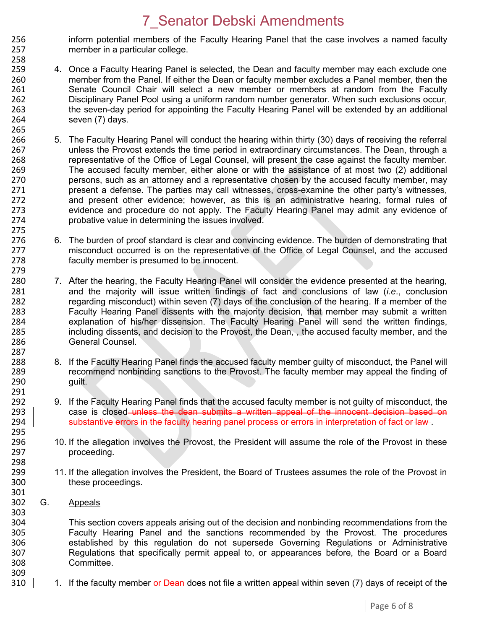- 256 inform potential members of the Faculty Hearing Panel that the case involves a named faculty<br>257 member in a particular college. member in a particular college.
- 258 259 4. Once a Faculty Hearing Panel is selected, the Dean and faculty member may each exclude one 260 member from the Panel. If either the Dean or faculty member excludes a Panel member, then the 261 Senate Council Chair will select a new member or members at random from the Faculty 262 Disciplinary Panel Pool using a uniform random number generator. When such exclusions occur, 263 the seven-day period for appointing the Faculty Hearing Panel will be extended by an additional 264 seven (7) days.
- 265<br>266 266 5. The Faculty Hearing Panel will conduct the hearing within thirty (30) days of receiving the referral 267 unless the Provost extends the time period in extraordinary circumstances. The Dean, through a 268 representative of the Office of Legal Counsel, will present the case against the faculty member.<br>269 The accused faculty member, either alone or with the assistance of at most two (2) additional 269 The accused faculty member, either alone or with the assistance of at most two (2) additional<br>270 series are attorney and a representative chosen by the accused faculty member, may 270 persons, such as an attorney and a representative chosen by the accused faculty member, may<br>271 present a defense. The parties may call witnesses, cross-examine the other party's witnesses. 271 present a defense. The parties may call witnesses, cross-examine the other party's witnesses, 272 and present other evidence; however, as this is an administrative hearing, formal rules of 273 evidence and procedure do not apply. The Faculty Hearing Panel may admit any evidence of 274 probative value in determining the issues involved.
- 6. The burden of proof standard is clear and convincing evidence. The burden of demonstrating that 277 misconduct occurred is on the representative of the Office of Legal Counsel, and the accused 278 faculty member is presumed to be innocent.
- 280 7. After the hearing, the Faculty Hearing Panel will consider the evidence presented at the hearing, 281 and the majority will issue written findings of fact and conclusions of law (*i.e*., conclusion 282 regarding misconduct) within seven (7) days of the conclusion of the hearing. If a member of the<br>283 Faculty Hearing Panel dissents with the maiority decision, that member may submit a written Faculty Hearing Panel dissents with the majority decision, that member may submit a written 284 explanation of his/her dissension. The Faculty Hearing Panel will send the written findings,<br>285 including dissents, and decision to the Provost, the Dean., the accused faculty member, and the including dissents, and decision to the Provost, the Dean, , the accused faculty member, and the 286 General Counsel. 287
- 288 8. If the Faculty Hearing Panel finds the accused faculty member guilty of misconduct, the Panel will<br>289 creammend nonbinding sanctions to the Provost. The faculty member may appeal the finding of 289 recommend nonbinding sanctions to the Provost. The faculty member may appeal the finding of 290 guilt.
- 9. If the Faculty Hearing Panel finds that the accused faculty member is not guilty of misconduct, the 293 case is closed unless the dean submits a written appeal of the innocent decision based on 294 substantive errors in the faculty hearing panel process or errors in interpretation of fact or law.
- 296 10. If the allegation involves the Provost, the President will assume the role of the Provost in these<br>297 **proceeding** proceeding.
- 299 11. If the allegation involves the President, the Board of Trustees assumes the role of the Provost in<br>300 these proceedings. these proceedings.
- 302 G. Appeals

275<br>276

279

291<br>292

295<br>296

298<br>299

301

303

304 This section covers appeals arising out of the decision and nonbinding recommendations from the<br>305 Faculty Hearing Panel and the sanctions recommended by the Provost. The procedures 305 Faculty Hearing Panel and the sanctions recommended by the Provost. The procedures<br>306 Setablished by this regulation do not supersede Governing Regulations or Administrative 306 established by this regulation do not supersede Governing Regulations or Administrative<br>307 Regulations that specifically permit appeal to, or appearances before, the Board or a Board Regulations that specifically permit appeal to, or appearances before, the Board or a Board 308 Committee. 309

310 1. If the faculty member or Dean-does not file a written appeal within seven (7) days of receipt of the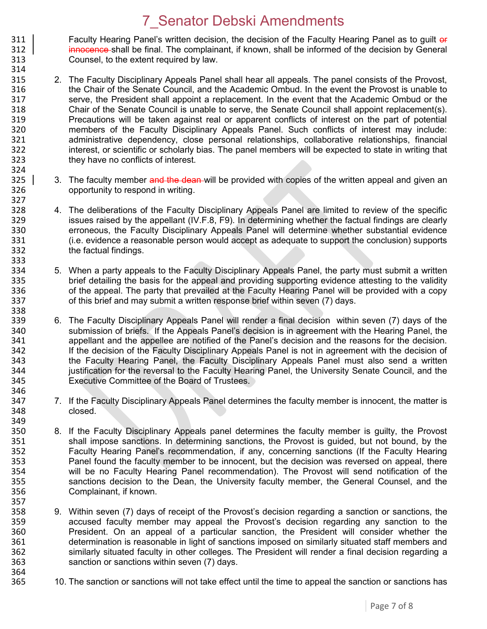311 Faculty Hearing Panel's written decision, the decision of the Faculty Hearing Panel as to guilt or 312 Faculty Hearing Panel as to guilt or 312 innocence shall be final. The complainant, if known, shall be informed of the decision by General 313 Counsel, to the extent required by law. 314

- 315 2. The Faculty Disciplinary Appeals Panel shall hear all appeals. The panel consists of the Provost, 316 the Chair of the Senate Council, and the Academic Ombud. In the event the Provost is unable to 317 serve, the President shall appoint a replacement. In the event that the Academic Ombud or the 318 Senate Council is unable to serve, the Senate Council shall appoint replacement(s). Chair of the Senate Council is unable to serve, the Senate Council shall appoint replacement(s). 319 Precautions will be taken against real or apparent conflicts of interest on the part of potential 320 members of the Faculty Disciplinary Appeals Panel. Such conflicts of interest may include:<br>321 administrative dependency, close personal relationships, collaborative relationships, financial administrative dependency, close personal relationships, collaborative relationships, financial 322 interest, or scientific or scholarly bias. The panel members will be expected to state in writing that 323 they have no conflicts of interest.
- 324<br>325 3. The faculty member and the dean-will be provided with copies of the written appeal and given an 326 opportunity to respond in writing.

327<br>328

333<br>334

338

357<br>358

364<br>365

- 328 4. The deliberations of the Faculty Disciplinary Appeals Panel are limited to review of the specific 329 issues raised by the appellant (IV.F.8, F9). In determining whether the factual findings are clearly 330 erroneous, the Faculty Disciplinary Appeals Panel will determine whether substantial evidence 331 (i.e. evidence a reasonable person would accept as adequate to support the conclusion) supports 332 the factual findings.
- 334 5. When a party appeals to the Faculty Disciplinary Appeals Panel, the party must submit a written<br>335 brief detailing the basis for the appeal and providing supporting evidence attesting to the validity 335 brief detailing the basis for the appeal and providing supporting evidence attesting to the validity<br>336 only the appeal. The party that prevailed at the Faculty Hearing Panel will be provided with a copy 336 of the appeal. The party that prevailed at the Faculty Hearing Panel will be provided with a copy 337 of this brief and may submit a written response brief within seven (7) days.
- 339 6. The Faculty Disciplinary Appeals Panel will render a final decision within seven (7) days of the 340 submission of briefs. If the Appeals Panel's decision is in agreement with the Hearing Panel, the 340 submission of briefs. If the Appeals Panel's decision is in agreement with the Hearing Panel, the<br>341 speellant and the appellee are notified of the Panel's decision and the reasons for the decision. 341 appellant and the appellee are notified of the Panel's decision and the reasons for the decision.<br>342 **1998 11: If the decision of the Faculty Disciplinary Appeals Panel is not in agreement with the decision of** If the decision of the Faculty Disciplinary Appeals Panel is not in agreement with the decision of 343 the Faculty Hearing Panel, the Faculty Disciplinary Appeals Panel must also send a written 344 justification for the reversal to the Faculty Hearing Panel, the University Senate Council, and the 345 Executive Committee of the Board of Trustees. 346
- 347 7. If the Faculty Disciplinary Appeals Panel determines the faculty member is innocent, the matter is 348 closed.
- 349<br>350 350 8. If the Faculty Disciplinary Appeals panel determines the faculty member is guilty, the Provost 351 shall impose sanctions. In determining sanctions, the Provost is guided, but not bound, by the shall impose sanctions. In determining sanctions, the Provost is guided, but not bound, by the 352 Faculty Hearing Panel's recommendation, if any, concerning sanctions (If the Faculty Hearing 353 Panel found the faculty member to be innocent, but the decision was reversed on appeal, there 354 will be no Faculty Hearing Panel recommendation). The Provost will send notification of the<br>355 Sanctions decision to the Dean, the University faculty member, the General Counsel, and the sanctions decision to the Dean, the University faculty member, the General Counsel, and the 356 Complainant, if known.
- 9. Within seven (7) days of receipt of the Provost's decision regarding a sanction or sanctions, the 359 accused faculty member may appeal the Provost's decision regarding any sanction to the 360 President. On an appeal of a particular sanction, the President will consider whether the 361 determination is reasonable in light of sanctions imposed on similarly situated staff members and 362 similarly situated faculty in other colleges. The President will render a final decision regarding a 363 sanction or sanctions within seven (7) days.
	- 10. The sanction or sanctions will not take effect until the time to appeal the sanction or sanctions has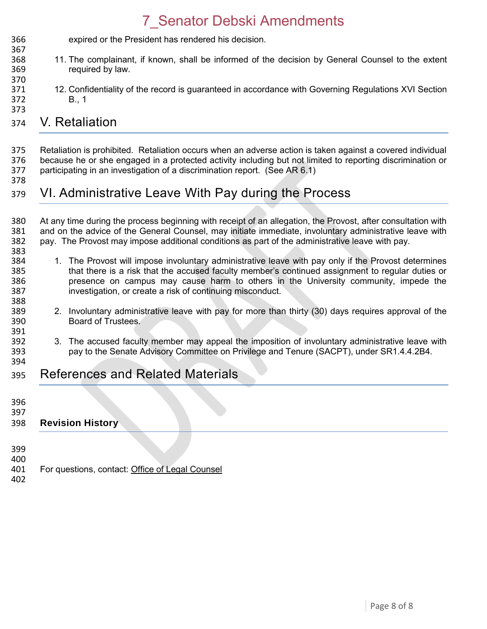expired or the President has rendered his decision. 11. The complainant, if known, shall be informed of the decision by General Counsel to the extent required by law. 

 12. Confidentiality of the record is guaranteed in accordance with Governing Regulations XVI Section B., 1 

#### V. Retaliation

 Retaliation is prohibited. Retaliation occurs when an adverse action is taken against a covered individual 376 because he or she engaged in a protected activity including but not limited to reporting discrimination or<br>377 participating in an investigation of a discrimination report. (See AR 6.1) participating in an investigation of a discrimination report. (See AR 6.1)

#### VI. Administrative Leave With Pay during the Process

380 At any time during the process beginning with receipt of an allegation, the Provost, after consultation with<br>381 and on the advice of the General Counsel, may initiate immediate, involuntary administrative leave with and on the advice of the General Counsel, may initiate immediate, involuntary administrative leave with pay. The Provost may impose additional conditions as part of the administrative leave with pay. 

- 384 1. The Provost will impose involuntary administrative leave with pay only if the Provost determines<br>385 that there is a risk that the accused faculty member's continued assignment to regular duties or that there is a risk that the accused faculty member's continued assignment to regular duties or presence on campus may cause harm to others in the University community, impede the investigation, or create a risk of continuing misconduct.
- 2. Involuntary administrative leave with pay for more than thirty (30) days requires approval of the Board of Trustees.
- 392 3. The accused faculty member may appeal the imposition of involuntary administrative leave with<br>393 servine Senate Advisory Committee on Privilege and Tenure (SACPT), under SR1.4.4.2B4. pay to the Senate Advisory Committee on Privilege and Tenure (SACPT), under SR1.4.4.2B4.
- References and Related Materials
- 

391<br>392

- 
- **Revision History**
- 
- For questions, contact: [Office of Legal Counsel](mailto:LegalRegs@uky.edu)
-